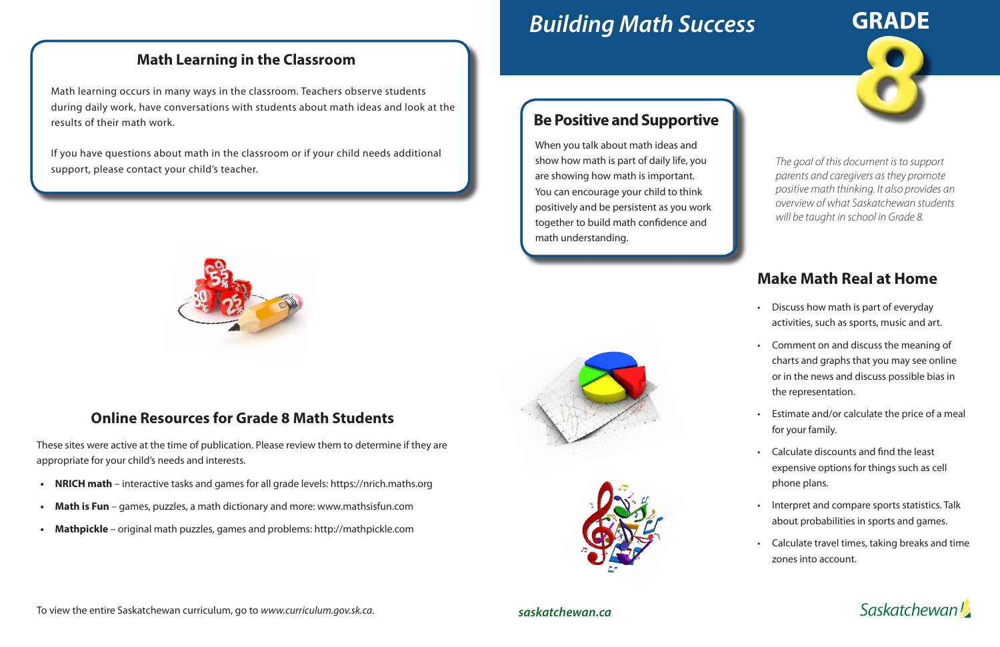# *Building Math Success*

## **Make Math Real at Home**

8 **GRADE**

- Discuss how math is part of everyday activities, such as sports, music and art.
- Comment on and discuss the meaning of charts and graphs that you may see online or in the news and discuss possible bias in the representation.
- Estimate and/or calculate the price of a meal for your family.
- Calculate discounts and find the least expensive options for things such as cell phone plans.
- Interpret and compare sports statistics. Talk about probabilities in sports and games.
- Calculate travel times, taking breaks and time zones into account.

**Saskatchewan** 

#### *saskatchewan.ca*



### **Math Learning in the Classroom**

Math learning occurs in many ways in the classroom. Teachers observe students during daily work, have conversations with students about math ideas and look at the results of their math work.

If you have questions about math in the classroom or if your child needs additional support, please contact your child's teacher.



### **Online Resources for Grade 8 Math Students**

These sites were active at the time of publication. Please review them to determine if they are appropriate for your child's needs and interests.

- **• NRICH math**  interactive tasks and games for all grade levels: https://nrich.maths.org
- **Math is Fun** games, puzzles, a math dictionary and more: www.mathsisfun.com
- **• Mathpickle**  original math puzzles, games and problems: http://mathpickle.com

#### To view the entire Saskatchewan curriculum, go to *www.curriculum.gov.sk.ca*.

*The goal of this document is to support parents and caregivers as they promote positive math thinking. It also provides an overview of what Saskatchewan students will be taught in school in Grade 8.*

### **Be Positive and Supportive**

When you talk about math ideas and show how math is part of daily life, you are showing how math is important. You can encourage your child to think positively and be persistent as you work together to build math confidence and math understanding.